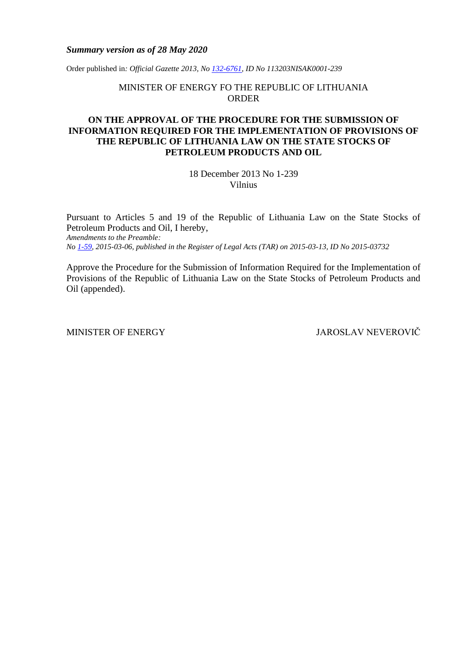### *Summary version as of 28 May 2020*

Order published in*: Official Gazette 2013, No [132-6761,](https://www.e-tar.lt/portal/legalAct.html?documentId=TAR.EC597978DAEE) ID No 113203NISAK0001-239*

MINISTER OF ENERGY FO THE REPUBLIC OF LITHUANIA ORDER

## **ON THE APPROVAL OF THE PROCEDURE FOR THE SUBMISSION OF INFORMATION REQUIRED FOR THE IMPLEMENTATION OF PROVISIONS OF THE REPUBLIC OF LITHUANIA LAW ON THE STATE STOCKS OF PETROLEUM PRODUCTS AND OIL**

18 December 2013 No 1-239 Vilnius

Pursuant to Articles 5 and 19 of the Republic of Lithuania Law on the State Stocks of Petroleum Products and Oil, I hereby, *Amendments to the Preamble: No [1-59,](https://www.e-tar.lt/portal/legalAct.html?documentId=76915f20c88d11e4bac9d73c75fc910a) 2015-03-06, published in the Register of Legal Acts (TAR) on 2015-03-13, ID No 2015-03732*

Approve the Procedure for the Submission of Information Required for the Implementation of Provisions of the Republic of Lithuania Law on the State Stocks of Petroleum Products and Oil (appended).

MINISTER OF ENERGY JAROSLAV NEVEROVIČ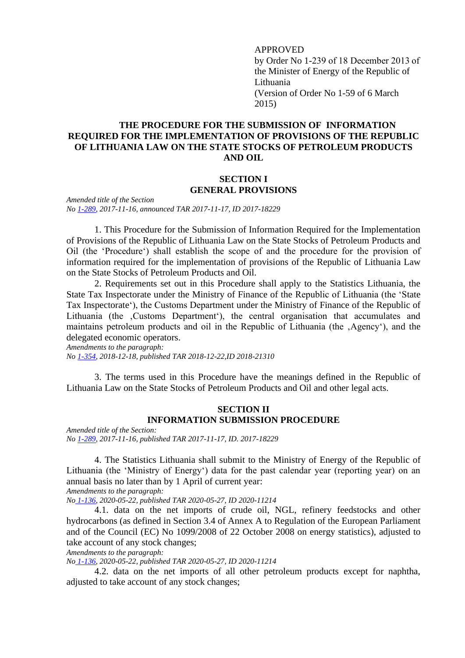APPROVED by Order No 1-239 of 18 December 2013 of the Minister of Energy of the Republic of Lithuania (Version of Order No 1-59 of 6 March 2015)

# **THE PROCEDURE FOR THE SUBMISSION OF INFORMATION REQUIRED FOR THE IMPLEMENTATION OF PROVISIONS OF THE REPUBLIC OF LITHUANIA LAW ON THE STATE STOCKS OF PETROLEUM PRODUCTS AND OIL**

## **SECTION I GENERAL PROVISIONS**

*Amended title of the Section No [1-289,](https://www.e-tar.lt/portal/legalAct.html?documentId=6e833e10caac11e7910a89ac20768b0f) 2017-11-16, announced TAR 2017-11-17, ID 2017-18229*

1. This Procedure for the Submission of Information Required for the Implementation of Provisions of the Republic of Lithuania Law on the State Stocks of Petroleum Products and Oil (the 'Procedure') shall establish the scope of and the procedure for the provision of information required for the implementation of provisions of the Republic of Lithuania Law on the State Stocks of Petroleum Products and Oil.

2. Requirements set out in this Procedure shall apply to the Statistics Lithuania, the State Tax Inspectorate under the Ministry of Finance of the Republic of Lithuania (the 'State Tax Inspectorate'), the Customs Department under the Ministry of Finance of the Republic of Lithuania (the ,Customs Department'), the central organisation that accumulates and maintains petroleum products and oil in the Republic of Lithuania (the , Agency'), and the delegated economic operators.

*Amendments to the paragraph: No [1-354,](https://www.e-tar.lt/portal/legalAct.html?documentId=e1b11f10043511e9a5eaf2cd290f1944) 2018-12-18, published TAR 2018-12-22,ID 2018-21310*

3. The terms used in this Procedure have the meanings defined in the Republic of Lithuania Law on the State Stocks of Petroleum Products and Oil and other legal acts.

## **SECTION II INFORMATION SUBMISSION PROCEDURE**

*Amended title of the Section: No [1-289,](https://www.e-tar.lt/portal/legalAct.html?documentId=6e833e10caac11e7910a89ac20768b0f) 2017-11-16, published TAR 2017-11-17, ID. 2017-18229*

4. The Statistics Lithuania shall submit to the Ministry of Energy of the Republic of Lithuania (the 'Ministry of Energy') data for the past calendar year (reporting year) on an annual basis no later than by 1 April of current year:

*Amendments to the paragraph:*

*No [1-136,](https://www.e-tar.lt/portal/legalAct.html?documentId=913c9c109fef11ea9515f752ff221ec9) 2020-05-22, published TAR 2020-05-27, ID 2020-11214*

4.1. data on the net imports of crude oil, NGL, refinery feedstocks and other hydrocarbons (as defined in Section 3.4 of Annex A to Regulation of the European Parliament and of the Council (EC) No 1099/2008 of 22 October 2008 on energy statistics), adjusted to take account of any stock changes;

*Amendments to the paragraph:*

*No [1-136,](https://www.e-tar.lt/portal/legalAct.html?documentId=913c9c109fef11ea9515f752ff221ec9) 2020-05-22, published TAR 2020-05-27, ID 2020-11214*

4.2. data on the net imports of all other petroleum products except for naphtha, adjusted to take account of any stock changes;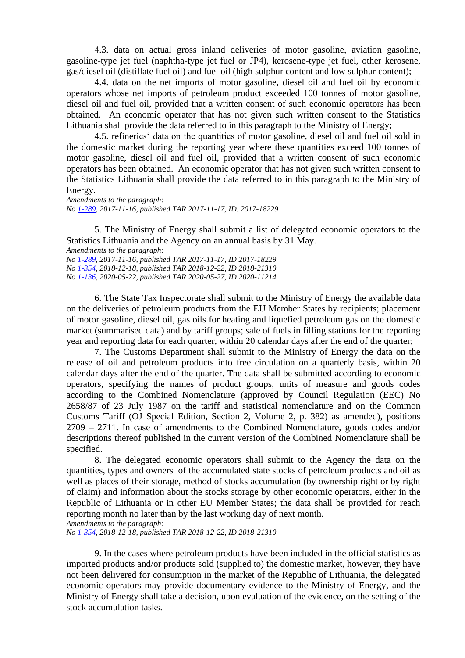4.3. data on actual gross inland deliveries of motor gasoline, aviation gasoline, gasoline-type jet fuel (naphtha-type jet fuel or JP4), kerosene-type jet fuel, other kerosene, gas/diesel oil (distillate fuel oil) and fuel oil (high sulphur content and low sulphur content);

4.4. data on the net imports of motor gasoline, diesel oil and fuel oil by economic operators whose net imports of petroleum product exceeded 100 tonnes of motor gasoline, diesel oil and fuel oil, provided that a written consent of such economic operators has been obtained. An economic operator that has not given such written consent to the Statistics Lithuania shall provide the data referred to in this paragraph to the Ministry of Energy;

4.5. refineries' data on the quantities of motor gasoline, diesel oil and fuel oil sold in the domestic market during the reporting year where these quantities exceed 100 tonnes of motor gasoline, diesel oil and fuel oil, provided that a written consent of such economic operators has been obtained. An economic operator that has not given such written consent to the Statistics Lithuania shall provide the data referred to in this paragraph to the Ministry of Energy.

*Amendments to the paragraph: No [1-289,](https://www.e-tar.lt/portal/legalAct.html?documentId=6e833e10caac11e7910a89ac20768b0f) 2017-11-16, published TAR 2017-11-17, ID. 2017-18229*

5. The Ministry of Energy shall submit a list of delegated economic operators to the Statistics Lithuania and the Agency on an annual basis by 31 May.

*Amendments to the paragraph:*

*No [1-289,](https://www.e-tar.lt/portal/legalAct.html?documentId=6e833e10caac11e7910a89ac20768b0f) 2017-11-16, published TAR 2017-11-17, ID 2017-18229 No [1-354,](https://www.e-tar.lt/portal/legalAct.html?documentId=e1b11f10043511e9a5eaf2cd290f1944) 2018-12-18, published TAR 2018-12-22, ID 2018-21310 No [1-136,](https://www.e-tar.lt/portal/legalAct.html?documentId=913c9c109fef11ea9515f752ff221ec9) 2020-05-22, published TAR 2020-05-27, ID 2020-11214*

6. The State Tax Inspectorate shall submit to the Ministry of Energy the available data on the deliveries of petroleum products from the EU Member States by recipients; placement of motor gasoline, diesel oil, gas oils for heating and liquefied petroleum gas on the domestic market (summarised data) and by tariff groups; sale of fuels in filling stations for the reporting year and reporting data for each quarter, within 20 calendar days after the end of the quarter;

7. The Customs Department shall submit to the Ministry of Energy the data on the release of oil and petroleum products into free circulation on a quarterly basis, within 20 calendar days after the end of the quarter. The data shall be submitted according to economic operators, specifying the names of product groups, units of measure and goods codes according to the Combined Nomenclature (approved by Council Regulation (EEC) No 2658/87 of 23 July 1987 on the tariff and statistical nomenclature and on the Common Customs Tariff (OJ Special Edition, Section 2, Volume 2, p. 382) as amended), positions 2709 – 2711. In case of amendments to the Combined Nomenclature, goods codes and/or descriptions thereof published in the current version of the Combined Nomenclature shall be specified.

8. The delegated economic operators shall submit to the Agency the data on the quantities, types and owners of the accumulated state stocks of petroleum products and oil as well as places of their storage, method of stocks accumulation (by ownership right or by right of claim) and information about the stocks storage by other economic operators, either in the Republic of Lithuania or in other EU Member States; the data shall be provided for reach reporting month no later than by the last working day of next month.

*Amendments to the paragraph:*

*No [1-354,](https://www.e-tar.lt/portal/legalAct.html?documentId=e1b11f10043511e9a5eaf2cd290f1944) 2018-12-18, published TAR 2018-12-22, ID 2018-21310*

9. In the cases where petroleum products have been included in the official statistics as imported products and/or products sold (supplied to) the domestic market, however, they have not been delivered for consumption in the market of the Republic of Lithuania, the delegated economic operators may provide documentary evidence to the Ministry of Energy, and the Ministry of Energy shall take a decision, upon evaluation of the evidence, on the setting of the stock accumulation tasks.